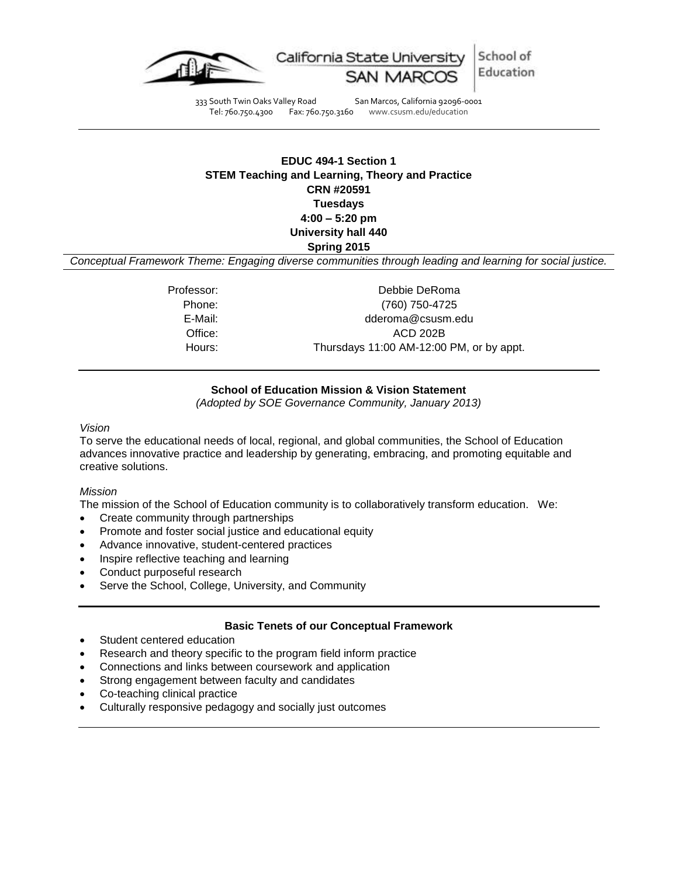

333 South Twin Oaks Valley Road San Marcos, California 92096-0001<br>Tel: 760.750.4300 Fax: 760.750.3160 www.csusm.edu/education

www.csusm.edu/education

# **EDUC 494-1 Section 1 STEM Teaching and Learning, Theory and Practice CRN #20591 Tuesdays 4:00 – 5:20 pm University hall 440 Spring 2015**

*Conceptual Framework Theme: Engaging diverse communities through leading and learning for social justice.*

Professor: Debbie DeRoma Phone: (760) 750-4725 E-Mail: dderoma@csusm.edu Office: ACD 202B Hours: Thursdays 11:00 AM-12:00 PM, or by appt.

# **School of Education Mission & Vision Statement**

*(Adopted by SOE Governance Community, January 2013)*

*Vision*

To serve the educational needs of local, regional, and global communities, the School of Education advances innovative practice and leadership by generating, embracing, and promoting equitable and creative solutions.

#### *Mission*

The mission of the School of Education community is to collaboratively transform education. We:

- Create community through partnerships
- Promote and foster social justice and educational equity
- Advance innovative, student-centered practices
- Inspire reflective teaching and learning
- Conduct purposeful research
- Serve the School, College, University, and Community

## **Basic Tenets of our Conceptual Framework**

- Student centered education
- Research and theory specific to the program field inform practice
- Connections and links between coursework and application
- Strong engagement between faculty and candidates
- Co-teaching clinical practice
- Culturally responsive pedagogy and socially just outcomes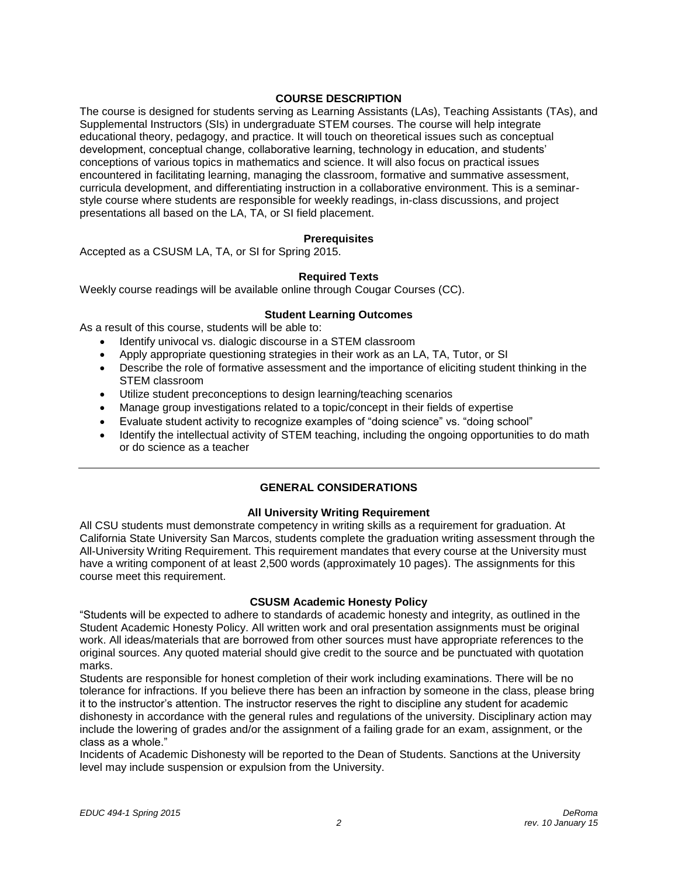## **COURSE DESCRIPTION**

The course is designed for students serving as Learning Assistants (LAs), Teaching Assistants (TAs), and Supplemental Instructors (SIs) in undergraduate STEM courses. The course will help integrate educational theory, pedagogy, and practice. It will touch on theoretical issues such as conceptual development, conceptual change, collaborative learning, technology in education, and students' conceptions of various topics in mathematics and science. It will also focus on practical issues encountered in facilitating learning, managing the classroom, formative and summative assessment, curricula development, and differentiating instruction in a collaborative environment. This is a seminarstyle course where students are responsible for weekly readings, in-class discussions, and project presentations all based on the LA, TA, or SI field placement.

## **Prerequisites**

Accepted as a CSUSM LA, TA, or SI for Spring 2015.

## **Required Texts**

Weekly course readings will be available online through Cougar Courses (CC).

## **Student Learning Outcomes**

As a result of this course, students will be able to:

- Identify univocal vs. dialogic discourse in a STEM classroom
- Apply appropriate questioning strategies in their work as an LA, TA, Tutor, or SI
- Describe the role of formative assessment and the importance of eliciting student thinking in the STEM classroom
- Utilize student preconceptions to design learning/teaching scenarios
- Manage group investigations related to a topic/concept in their fields of expertise
- Evaluate student activity to recognize examples of "doing science" vs. "doing school"
- Identify the intellectual activity of STEM teaching, including the ongoing opportunities to do math or do science as a teacher

# **GENERAL CONSIDERATIONS**

#### **All University Writing Requirement**

All CSU students must demonstrate competency in writing skills as a requirement for graduation. At California State University San Marcos, students complete the graduation writing assessment through the All-University Writing Requirement. This requirement mandates that every course at the University must have a writing component of at least 2,500 words (approximately 10 pages). The assignments for this course meet this requirement.

#### **CSUSM Academic Honesty Policy**

"Students will be expected to adhere to standards of academic honesty and integrity, as outlined in the Student Academic Honesty Policy. All written work and oral presentation assignments must be original work. All ideas/materials that are borrowed from other sources must have appropriate references to the original sources. Any quoted material should give credit to the source and be punctuated with quotation marks.

Students are responsible for honest completion of their work including examinations. There will be no tolerance for infractions. If you believe there has been an infraction by someone in the class, please bring it to the instructor's attention. The instructor reserves the right to discipline any student for academic dishonesty in accordance with the general rules and regulations of the university. Disciplinary action may include the lowering of grades and/or the assignment of a failing grade for an exam, assignment, or the class as a whole."

Incidents of Academic Dishonesty will be reported to the Dean of Students. Sanctions at the University level may include suspension or expulsion from the University.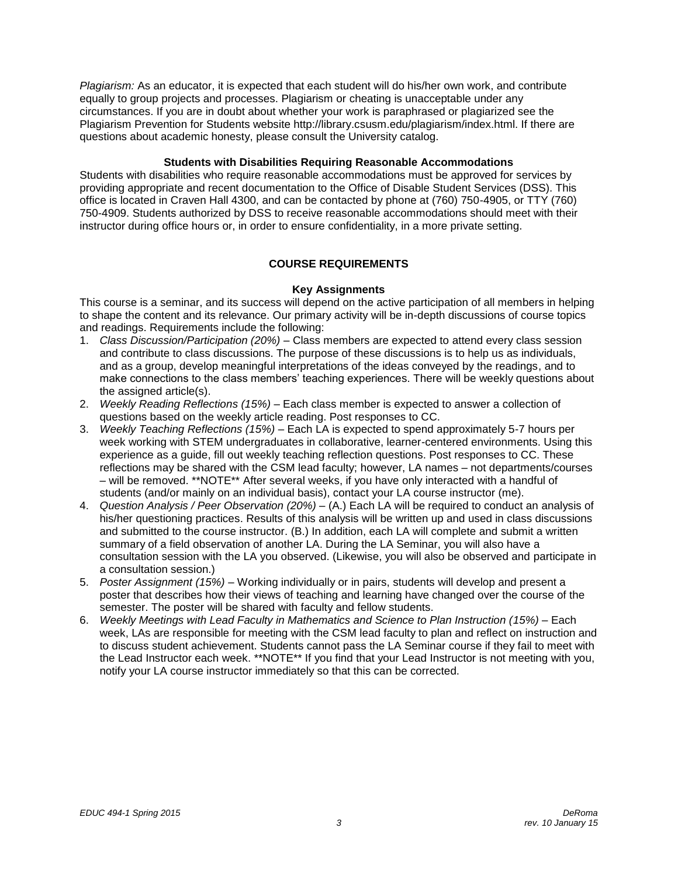*Plagiarism:* As an educator, it is expected that each student will do his/her own work, and contribute equally to group projects and processes. Plagiarism or cheating is unacceptable under any circumstances. If you are in doubt about whether your work is paraphrased or plagiarized see the Plagiarism Prevention for Students website http://library.csusm.edu/plagiarism/index.html. If there are questions about academic honesty, please consult the University catalog.

#### **Students with Disabilities Requiring Reasonable Accommodations**

Students with disabilities who require reasonable accommodations must be approved for services by providing appropriate and recent documentation to the Office of Disable Student Services (DSS). This office is located in Craven Hall 4300, and can be contacted by phone at (760) 750-4905, or TTY (760) 750-4909. Students authorized by DSS to receive reasonable accommodations should meet with their instructor during office hours or, in order to ensure confidentiality, in a more private setting.

# **COURSE REQUIREMENTS**

#### **Key Assignments**

This course is a seminar, and its success will depend on the active participation of all members in helping to shape the content and its relevance. Our primary activity will be in-depth discussions of course topics and readings. Requirements include the following:

- 1. *Class Discussion/Participation (20%) –* Class members are expected to attend every class session and contribute to class discussions. The purpose of these discussions is to help us as individuals, and as a group, develop meaningful interpretations of the ideas conveyed by the readings, and to make connections to the class members' teaching experiences. There will be weekly questions about the assigned article(s).
- 2. *Weekly Reading Reflections (15%) –* Each class member is expected to answer a collection of questions based on the weekly article reading. Post responses to CC.
- 3. *Weekly Teaching Reflections (15%) –* Each LA is expected to spend approximately 5-7 hours per week working with STEM undergraduates in collaborative, learner-centered environments. Using this experience as a guide, fill out weekly teaching reflection questions. Post responses to CC. These reflections may be shared with the CSM lead faculty; however, LA names – not departments/courses – will be removed. \*\*NOTE\*\* After several weeks, if you have only interacted with a handful of students (and/or mainly on an individual basis), contact your LA course instructor (me).
- 4. *Question Analysis / Peer Observation (20%) –* (A.) Each LA will be required to conduct an analysis of his/her questioning practices. Results of this analysis will be written up and used in class discussions and submitted to the course instructor. (B.) In addition, each LA will complete and submit a written summary of a field observation of another LA. During the LA Seminar, you will also have a consultation session with the LA you observed. (Likewise, you will also be observed and participate in a consultation session.)
- 5. *Poster Assignment (15%)* Working individually or in pairs, students will develop and present a poster that describes how their views of teaching and learning have changed over the course of the semester. The poster will be shared with faculty and fellow students.
- 6. *Weekly Meetings with Lead Faculty in Mathematics and Science to Plan Instruction (15%) –* Each week, LAs are responsible for meeting with the CSM lead faculty to plan and reflect on instruction and to discuss student achievement. Students cannot pass the LA Seminar course if they fail to meet with the Lead Instructor each week. \*\*NOTE\*\* If you find that your Lead Instructor is not meeting with you, notify your LA course instructor immediately so that this can be corrected.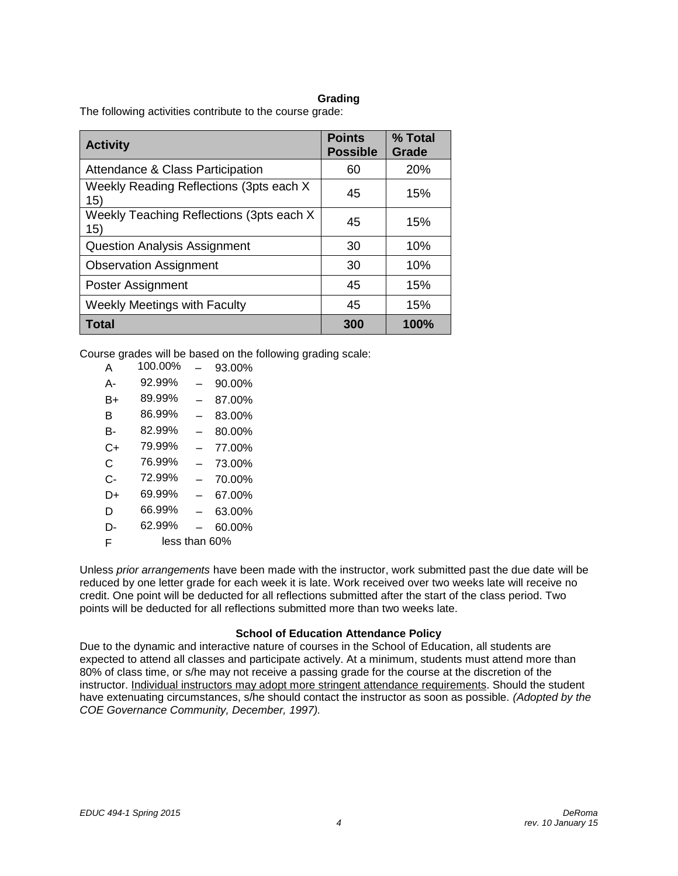#### **Grading**

The following activities contribute to the course grade:

| <b>Activity</b>                                  | <b>Points</b><br><b>Possible</b> | % Total<br>Grade |
|--------------------------------------------------|----------------------------------|------------------|
| Attendance & Class Participation                 | 60                               | <b>20%</b>       |
| Weekly Reading Reflections (3pts each X<br>15)   | 45                               | 15%              |
| Weekly Teaching Reflections (3pts each X)<br>15) | 45                               | 15%              |
| <b>Question Analysis Assignment</b>              | 30                               | 10%              |
| <b>Observation Assignment</b>                    | 30                               | 10%              |
| Poster Assignment                                | 45                               | 15%              |
| <b>Weekly Meetings with Faculty</b>              | 45                               | 15%              |
| Total                                            | 300                              | 100%             |

Course grades will be based on the following grading scale:

| А  | 100.00%       |                          | 93.00% |
|----|---------------|--------------------------|--------|
| А- | 92.99%        |                          | 90.00% |
| B+ | 89.99%        |                          | 87.00% |
| в  | 86.99%        | $\overline{\phantom{0}}$ | 83.00% |
| в- | 82.99%        |                          | 80.00% |
| C+ | 79.99%        |                          | 77.00% |
| C  | 76.99%        |                          | 73.00% |
| C- | 72.99%        |                          | 70.00% |
| D+ | 69.99%        |                          | 67.00% |
| D  | 66.99%        |                          | 63.00% |
| D- | 62.99%        |                          | 60.00% |
| F  | less than 60% |                          |        |
|    |               |                          |        |

Unless *prior arrangements* have been made with the instructor, work submitted past the due date will be reduced by one letter grade for each week it is late. Work received over two weeks late will receive no credit. One point will be deducted for all reflections submitted after the start of the class period. Two points will be deducted for all reflections submitted more than two weeks late.

#### **School of Education Attendance Policy**

Due to the dynamic and interactive nature of courses in the School of Education, all students are expected to attend all classes and participate actively. At a minimum, students must attend more than 80% of class time, or s/he may not receive a passing grade for the course at the discretion of the instructor. Individual instructors may adopt more stringent attendance requirements. Should the student have extenuating circumstances, s/he should contact the instructor as soon as possible. *(Adopted by the COE Governance Community, December, 1997).*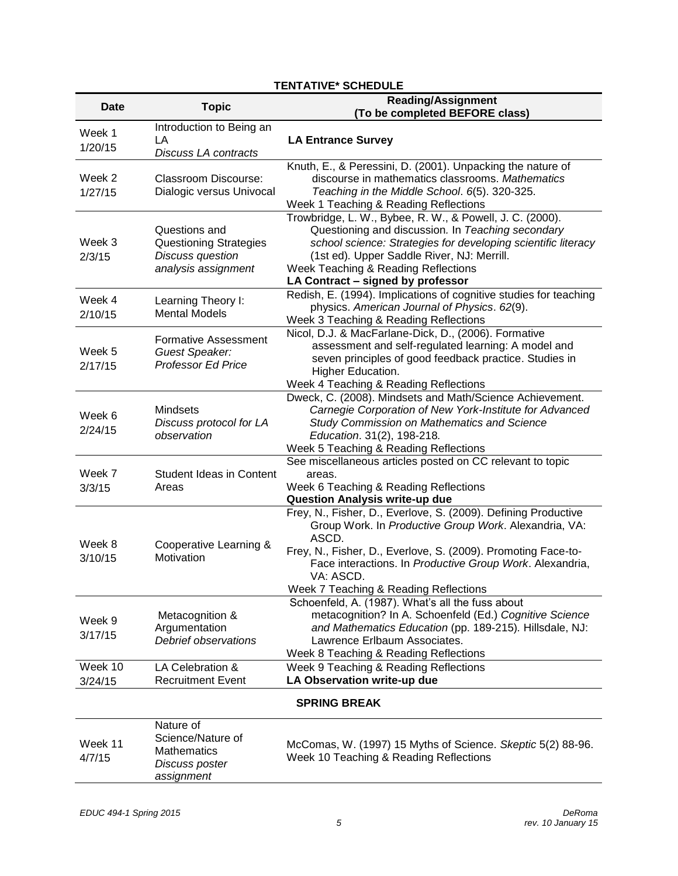|                     | LITERTIVE SCHEDULE                         |                                                                                                               |  |
|---------------------|--------------------------------------------|---------------------------------------------------------------------------------------------------------------|--|
| Date                | <b>Topic</b>                               | <b>Reading/Assignment</b>                                                                                     |  |
|                     |                                            | (To be completed BEFORE class)                                                                                |  |
| Week 1              | Introduction to Being an                   |                                                                                                               |  |
| 1/20/15             | LA                                         | <b>LA Entrance Survey</b>                                                                                     |  |
|                     | Discuss LA contracts                       |                                                                                                               |  |
|                     |                                            | Knuth, E., & Peressini, D. (2001). Unpacking the nature of                                                    |  |
| Week 2              | <b>Classroom Discourse:</b>                | discourse in mathematics classrooms. Mathematics                                                              |  |
| 1/27/15             | Dialogic versus Univocal                   | Teaching in the Middle School. 6(5). 320-325.                                                                 |  |
|                     |                                            | Week 1 Teaching & Reading Reflections                                                                         |  |
|                     |                                            | Trowbridge, L. W., Bybee, R. W., & Powell, J. C. (2000).                                                      |  |
| Week 3              | Questions and                              | Questioning and discussion. In Teaching secondary                                                             |  |
|                     | Questioning Strategies                     | school science: Strategies for developing scientific literacy                                                 |  |
| 2/3/15              | Discuss question<br>analysis assignment    | (1st ed). Upper Saddle River, NJ: Merrill.                                                                    |  |
|                     |                                            | Week Teaching & Reading Reflections                                                                           |  |
|                     |                                            | LA Contract - signed by professor                                                                             |  |
| Week 4              | Learning Theory I:<br><b>Mental Models</b> | Redish, E. (1994). Implications of cognitive studies for teaching                                             |  |
| 2/10/15             |                                            | physics. American Journal of Physics. 62(9).                                                                  |  |
|                     |                                            | Week 3 Teaching & Reading Reflections                                                                         |  |
|                     | Formative Assessment                       | Nicol, D.J. & MacFarlane-Dick, D., (2006). Formative                                                          |  |
| Week 5              | Guest Speaker:                             | assessment and self-regulated learning: A model and<br>seven principles of good feedback practice. Studies in |  |
| 2/17/15             | <b>Professor Ed Price</b>                  | Higher Education.                                                                                             |  |
|                     |                                            | Week 4 Teaching & Reading Reflections                                                                         |  |
|                     |                                            | Dweck, C. (2008). Mindsets and Math/Science Achievement.                                                      |  |
|                     | <b>Mindsets</b>                            | Carnegie Corporation of New York-Institute for Advanced                                                       |  |
| Week 6              | Discuss protocol for LA                    | Study Commission on Mathematics and Science                                                                   |  |
| 2/24/15             | observation                                | Education. 31(2), 198-218.                                                                                    |  |
|                     |                                            | Week 5 Teaching & Reading Reflections                                                                         |  |
|                     |                                            | See miscellaneous articles posted on CC relevant to topic                                                     |  |
| Week 7              | <b>Student Ideas in Content</b>            | areas.                                                                                                        |  |
| 3/3/15              | Areas                                      | Week 6 Teaching & Reading Reflections                                                                         |  |
|                     |                                            | <b>Question Analysis write-up due</b>                                                                         |  |
|                     |                                            | Frey, N., Fisher, D., Everlove, S. (2009). Defining Productive                                                |  |
|                     |                                            | Group Work. In Productive Group Work. Alexandria, VA:                                                         |  |
| Week 8              |                                            | ASCD.                                                                                                         |  |
|                     | Cooperative Learning &<br>Motivation       | Frey, N., Fisher, D., Everlove, S. (2009). Promoting Face-to-                                                 |  |
| 3/10/15             |                                            | Face interactions. In Productive Group Work. Alexandria,                                                      |  |
|                     |                                            | VA: ASCD.                                                                                                     |  |
|                     |                                            | Week 7 Teaching & Reading Reflections                                                                         |  |
|                     |                                            | Schoenfeld, A. (1987). What's all the fuss about                                                              |  |
| Week 9              | Metacognition &                            | metacognition? In A. Schoenfeld (Ed.) Cognitive Science                                                       |  |
| 3/17/15             | Argumentation                              | and Mathematics Education (pp. 189-215). Hillsdale, NJ:                                                       |  |
|                     | Debrief observations                       | Lawrence Erlbaum Associates.                                                                                  |  |
|                     |                                            | Week 8 Teaching & Reading Reflections                                                                         |  |
| Week 10             | LA Celebration &                           | Week 9 Teaching & Reading Reflections                                                                         |  |
| 3/24/15             | <b>Recruitment Event</b>                   | LA Observation write-up due                                                                                   |  |
| <b>SPRING BREAK</b> |                                            |                                                                                                               |  |
|                     | Nature of                                  |                                                                                                               |  |
| Week 11             | Science/Nature of                          | McComas, W. (1997) 15 Myths of Science. Skeptic 5(2) 88-96.                                                   |  |
| 4/7/15              | <b>Mathematics</b>                         | Week 10 Teaching & Reading Reflections                                                                        |  |
|                     | Discuss poster                             |                                                                                                               |  |
|                     | assignment                                 |                                                                                                               |  |

# **TENTATIVE\* SCHEDULE**